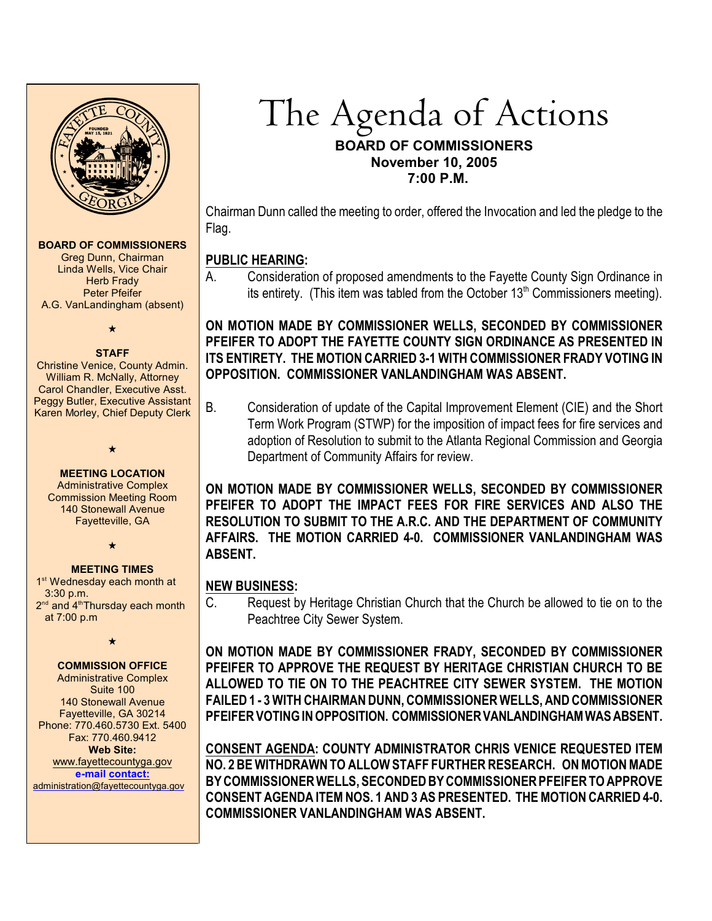

#### **BOARD OF COMMISSIONERS**

Greg Dunn, Chairman Linda Wells, Vice Chair **Herb Frady** Peter Pfeifer A.G. VanLandingham (absent)

 $\star$ 

#### **STAFF**

Christine Venice, County Admin. William R. McNally, Attorney Carol Chandler, Executive Asst. Peggy Butler, Executive Assistant Karen Morley, Chief Deputy Clerk

**MEETING LOCATION**

 $\star$ 

Administrative Complex Commission Meeting Room 140 Stonewall Avenue Fayetteville, GA

 $\bigstar$ 

#### **MEETING TIMES**

1<sup>st</sup> Wednesday each month at 3:30 p.m. 2<sup>nd</sup> and 4<sup>th</sup> Thursday each month at 7:00 p.m

#### $\star$

#### **COMMISSION OFFICE**

Administrative Complex Suite 100 140 Stonewall Avenue Fayetteville, GA 30214 Phone: 770.460.5730 Ext. 5400 Fax: 770.460.9412 **Web Site:** [www.fayettecountyga.gov](http://www.admin.co.fayette.ga.us) **e-mail [contact:](mailto:administration@fayettecountyga.gov)** [administration@fayettecountyga.gov](mailto:administration@fayettecountyga.gov)

# The Agenda of Actions **BOARD OF COMMISSIONERS November 10, 2005 7:00 P.M.**

Chairman Dunn called the meeting to order, offered the Invocation and led the pledge to the Flag.

## **PUBLIC HEARING:**

A. Consideration of proposed amendments to the Fayette County Sign Ordinance in its entirety. (This item was tabled from the October  $13<sup>th</sup>$  Commissioners meeting).

## **ON MOTION MADE BY COMMISSIONER WELLS, SECONDED BY COMMISSIONER PFEIFER TO ADOPT THE FAYETTE COUNTY SIGN ORDINANCE AS PRESENTED IN ITS ENTIRETY. THE MOTION CARRIED 3-1 WITH COMMISSIONER FRADY VOTING IN OPPOSITION. COMMISSIONER VANLANDINGHAM WAS ABSENT.**

B. Consideration of update of the Capital Improvement Element (CIE) and the Short Term Work Program (STWP) for the imposition of impact fees for fire services and adoption of Resolution to submit to the Atlanta Regional Commission and Georgia Department of Community Affairs for review.

**ON MOTION MADE BY COMMISSIONER WELLS, SECONDED BY COMMISSIONER PFEIFER TO ADOPT THE IMPACT FEES FOR FIRE SERVICES AND ALSO THE RESOLUTION TO SUBMIT TO THE A.R.C. AND THE DEPARTMENT OF COMMUNITY AFFAIRS. THE MOTION CARRIED 4-0. COMMISSIONER VANLANDINGHAM WAS ABSENT.** 

## **NEW BUSINESS:**

C. Request by Heritage Christian Church that the Church be allowed to tie on to the Peachtree City Sewer System.

**ON MOTION MADE BY COMMISSIONER FRADY, SECONDED BY COMMISSIONER PFEIFER TO APPROVE THE REQUEST BY HERITAGE CHRISTIAN CHURCH TO BE ALLOWED TO TIE ON TO THE PEACHTREE CITY SEWER SYSTEM. THE MOTION FAILED 1 - 3 WITH CHAIRMAN DUNN, COMMISSIONER WELLS, AND COMMISSIONER PFEIFER VOTING IN OPPOSITION. COMMISSIONER VANLANDINGHAM WAS ABSENT.**

**CONSENT AGENDA: COUNTY ADMINISTRATOR CHRIS VENICE REQUESTED ITEM NO. 2 BE WITHDRAWN TO ALLOW STAFF FURTHER RESEARCH. ON MOTION MADE BY COMMISSIONER WELLS, SECONDED BY COMMISSIONER PFEIFER TO APPROVE CONSENT AGENDA ITEM NOS. 1 AND 3 AS PRESENTED. THE MOTION CARRIED 4-0. COMMISSIONER VANLANDINGHAM WAS ABSENT.**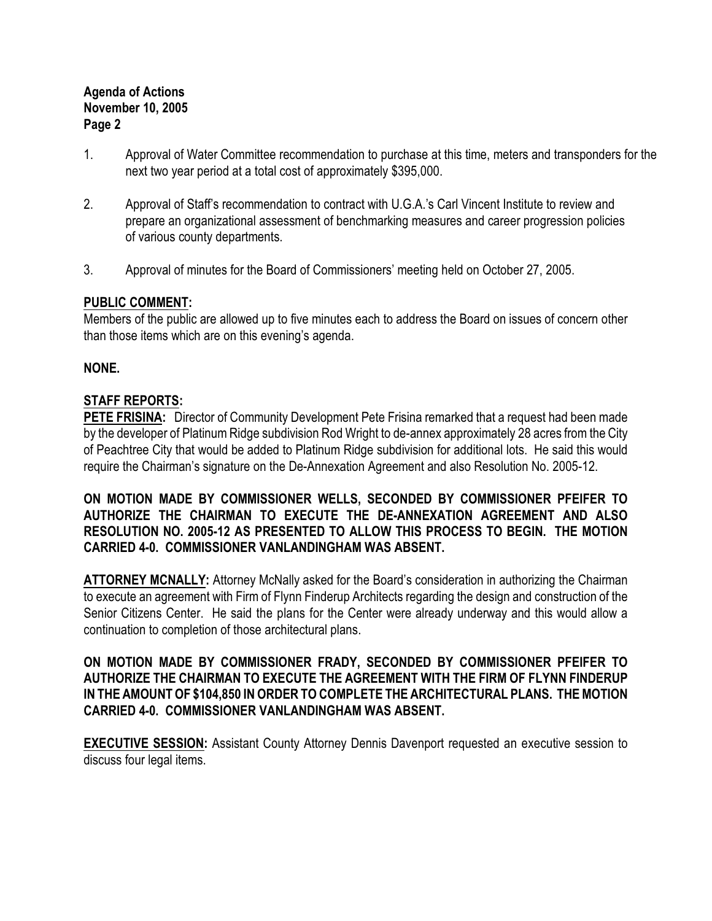## **Agenda of Actions November 10, 2005 Page 2**

- 1. Approval of Water Committee recommendation to purchase at this time, meters and transponders for the next two year period at a total cost of approximately \$395,000.
- 2. Approval of Staff's recommendation to contract with U.G.A.'s Carl Vincent Institute to review and prepare an organizational assessment of benchmarking measures and career progression policies of various county departments.
- 3. Approval of minutes for the Board of Commissioners' meeting held on October 27, 2005.

## **PUBLIC COMMENT:**

Members of the public are allowed up to five minutes each to address the Board on issues of concern other than those items which are on this evening's agenda.

## **NONE.**

## **STAFF REPORTS:**

**PETE FRISINA:** Director of Community Development Pete Frisina remarked that a request had been made by the developer of Platinum Ridge subdivision Rod Wright to de-annex approximately 28 acres from the City of Peachtree City that would be added to Platinum Ridge subdivision for additional lots. He said this would require the Chairman's signature on the De-Annexation Agreement and also Resolution No. 2005-12.

**ON MOTION MADE BY COMMISSIONER WELLS, SECONDED BY COMMISSIONER PFEIFER TO AUTHORIZE THE CHAIRMAN TO EXECUTE THE DE-ANNEXATION AGREEMENT AND ALSO RESOLUTION NO. 2005-12 AS PRESENTED TO ALLOW THIS PROCESS TO BEGIN. THE MOTION CARRIED 4-0. COMMISSIONER VANLANDINGHAM WAS ABSENT.**

**ATTORNEY MCNALLY:** Attorney McNally asked for the Board's consideration in authorizing the Chairman to execute an agreement with Firm of Flynn Finderup Architects regarding the design and construction of the Senior Citizens Center. He said the plans for the Center were already underway and this would allow a continuation to completion of those architectural plans.

#### **ON MOTION MADE BY COMMISSIONER FRADY, SECONDED BY COMMISSIONER PFEIFER TO AUTHORIZE THE CHAIRMAN TO EXECUTE THE AGREEMENT WITH THE FIRM OF FLYNN FINDERUP IN THE AMOUNT OF \$104,850 IN ORDER TO COMPLETE THE ARCHITECTURAL PLANS. THE MOTION CARRIED 4-0. COMMISSIONER VANLANDINGHAM WAS ABSENT.**

**EXECUTIVE SESSION:** Assistant County Attorney Dennis Davenport requested an executive session to discuss four legal items.